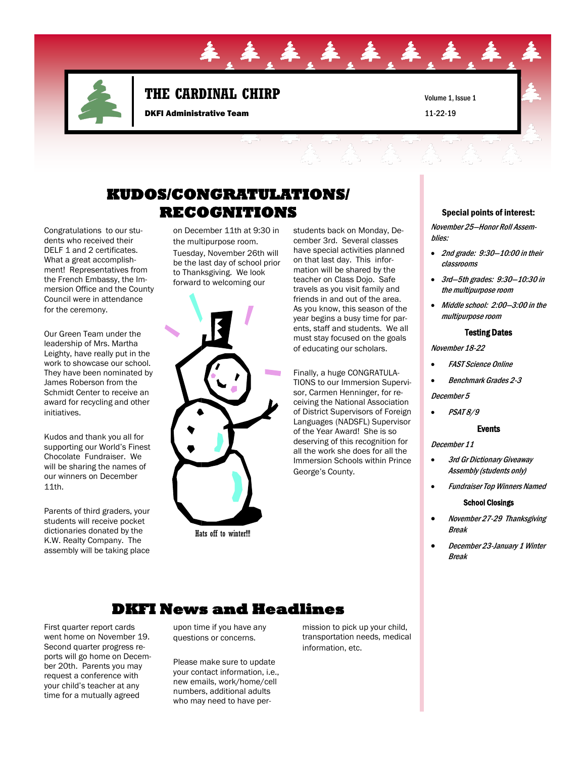

## **THE CARDINAL CHIRP**

DKFI Administrative Team

Volume 1, Issue 1 11-22-19

## **KUDOS/CONGRATULATIONS/ RECOGNITIONS** Special points of interest:

Congratulations to our students who received their DELF 1 and 2 certificates. What a great accomplishment! Representatives from the French Embassy, the Immersion Office and the County Council were in attendance for the ceremony.

Our Green Team under the leadership of Mrs. Martha Leighty, have really put in the work to showcase our school. They have been nominated by James Roberson from the Schmidt Center to receive an award for recycling and other initiatives.

Kudos and thank you all for supporting our World's Finest Chocolate Fundraiser. We will be sharing the names of our winners on December 11th.

Parents of third graders, your students will receive pocket dictionaries donated by the K.W. Realty Company. The assembly will be taking place

on December 11th at 9:30 in the multipurpose room. Tuesday, November 26th will be the last day of school prior to Thanksgiving. We look forward to welcoming our



Hats off to winter!!!

students back on Monday, December 3rd. Several classes have special activities planned on that last day. This information will be shared by the teacher on Class Dojo. Safe travels as you visit family and friends in and out of the area. As you know, this season of the year begins a busy time for parents, staff and students. We all must stay focused on the goals of educating our scholars.

. 车. 车. 车. 车

Finally, a huge CONGRATULA-TIONS to our Immersion Supervisor, Carmen Henninger, for receiving the National Association of District Supervisors of Foreign Languages (NADSFL) Supervisor of the Year Award! She is so deserving of this recognition for all the work she does for all the Immersion Schools within Prince George's County.

November 25—Honor Roll Assemblies:

- 2nd grade: 9:30—10:00 in their classrooms
- 3rd—5th grades: 9:30—10:30 in the multipurpose room
- Middle school: 2:00—3:00 in the multipurpose room

#### Testing Dates

November 18-22

- FAST Science Online
- Benchmark Grades 2-3

December 5

 $\bullet$  *PSAT 8/9* 

#### Events

December 11

- 3rd Gr Dictionary Giveaway Assembly (students only)
- Fundraiser Top Winners Named

#### School Closings

- November 27-29 Thanksgiving Break
- December 23-January 1 Winter Break

### **DKFI News and Headlines**

First quarter report cards went home on November 19. Second quarter progress reports will go home on December 20th. Parents you may request a conference with your child's teacher at any time for a mutually agreed

upon time if you have any questions or concerns.

Please make sure to update your contact information, i.e., new emails, work/home/cell numbers, additional adults who may need to have permission to pick up your child, transportation needs, medical information, etc.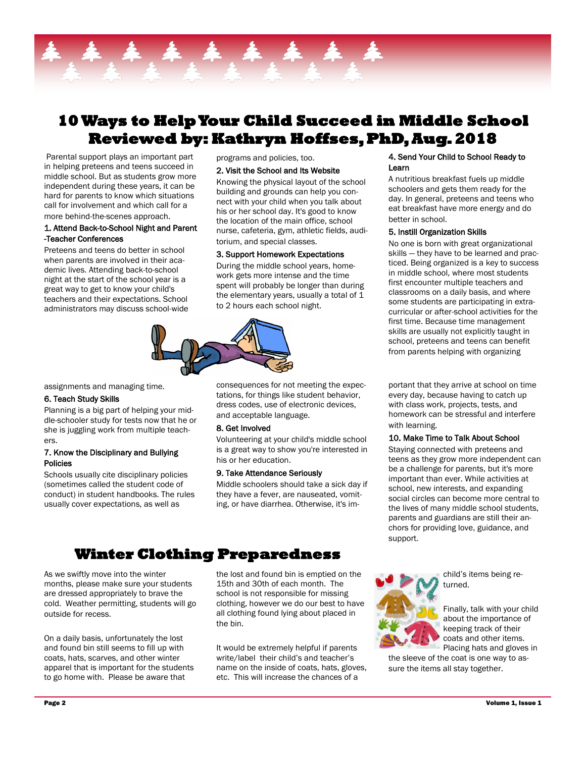

## **10 Ways to Help Your Child Succeed in Middle School Reviewed by: Kathryn Hoffses, PhD, Aug. 2018**

Parental support plays an important part in helping preteens and teens succeed in middle school. But as students grow more independent during these years, it can be hard for parents to know which situations call for involvement and which call for a more behind-the-scenes approach.

#### 1. Attend Back-to-School Night and Parent -Teacher Conferences

Preteens and teens do better in school when parents are involved in their academic lives. Attending back-to-school night at the start of the school year is a great way to get to know your child's teachers and their expectations. School administrators may discuss school-wide

#### programs and policies, too.

#### 2. Visit the School and Its Website

Knowing the physical layout of the school building and grounds can help you connect with your child when you talk about his or her school day. It's good to know the location of the main office, school nurse, cafeteria, gym, athletic fields, auditorium, and special classes.

#### 3. Support Homework Expectations

During the middle school years, homework gets more intense and the time spent will probably be longer than during the elementary years, usually a total of 1 to 2 hours each school night.



assignments and managing time.

#### 6. Teach Study Skills

Planning is a big part of helping your middle-schooler study for tests now that he or she is juggling work from multiple teachers.

#### 7. Know the Disciplinary and Bullying Policies

Schools usually cite disciplinary policies (sometimes called the student code of conduct) in student handbooks. The rules usually cover expectations, as well as

consequences for not meeting the expectations, for things like student behavior, dress codes, use of electronic devices, and acceptable language.

#### 8. Get Involved

Volunteering at your child's middle school is a great way to show you're interested in his or her education.

### 9. Take Attendance Seriously

Middle schoolers should take a sick day if they have a fever, are nauseated, vomiting, or have diarrhea. Otherwise, it's im-

## **Winter Clothing Preparedness**

As we swiftly move into the winter months, please make sure your students are dressed appropriately to brave the cold. Weather permitting, students will go outside for recess.

On a daily basis, unfortunately the lost and found bin still seems to fill up with coats, hats, scarves, and other winter apparel that is important for the students to go home with. Please be aware that

the lost and found bin is emptied on the 15th and 30th of each month. The school is not responsible for missing clothing, however we do our best to have all clothing found lying about placed in the bin.

It would be extremely helpful if parents write/label their child's and teacher's name on the inside of coats, hats, gloves, etc. This will increase the chances of a

#### 4. Send Your Child to School Ready to Learn

A nutritious breakfast fuels up middle schoolers and gets them ready for the day. In general, preteens and teens who eat breakfast have more energy and do better in school.

#### 5. Instill Organization Skills

No one is born with great organizational skills — they have to be learned and practiced. Being organized is a key to success in middle school, where most students first encounter multiple teachers and classrooms on a daily basis, and where some students are participating in extracurricular or after-school activities for the first time. Because time management skills are usually not explicitly taught in school, preteens and teens can benefit from parents helping with organizing

portant that they arrive at school on time every day, because having to catch up with class work, projects, tests, and homework can be stressful and interfere with learning.

#### 10. Make Time to Talk About School

Staying connected with preteens and teens as they grow more independent can be a challenge for parents, but it's more important than ever. While activities at school, new interests, and expanding social circles can become more central to the lives of many middle school students, parents and guardians are still their anchors for providing love, guidance, and support.



child's items being returned.

Finally, talk with your child about the importance of keeping track of their coats and other items. Placing hats and gloves in

the sleeve of the coat is one way to assure the items all stay together.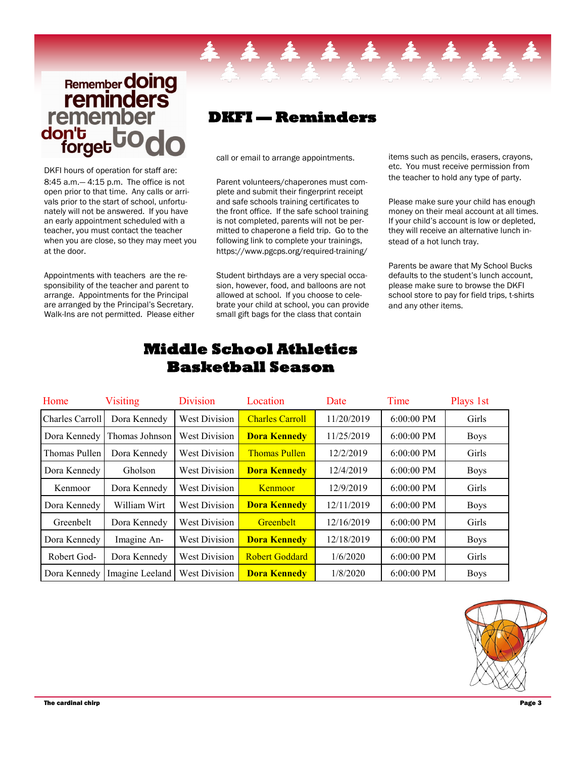## **Remember doing**<br>**reminders** remember don't forg

DKFI hours of operation for staff are: 8:45 a.m.— 4:15 p.m. The office is not open prior to that time. Any calls or arrivals prior to the start of school, unfortunately will not be answered. If you have an early appointment scheduled with a teacher, you must contact the teacher when you are close, so they may meet you at the door.

Appointments with teachers are the responsibility of the teacher and parent to arrange. Appointments for the Principal are arranged by the Principal's Secretary. Walk-Ins are not permitted. Please either

## **DKFI — Reminders**

call or email to arrange appointments.

Parent volunteers/chaperones must complete and submit their fingerprint receipt and safe schools training certificates to the front office. If the safe school training is not completed, parents will not be permitted to chaperone a field trip. Go to the following link to complete your trainings, https://www.pgcps.org/required-training/

Student birthdays are a very special occasion, however, food, and balloons are not allowed at school. If you choose to celebrate your child at school, you can provide small gift bags for the class that contain

items such as pencils, erasers, crayons, etc. You must receive permission from the teacher to hold any type of party.

Please make sure your child has enough money on their meal account at all times. If your child's account is low or depleted, they will receive an alternative lunch instead of a hot lunch tray.

Parents be aware that My School Bucks defaults to the student's lunch account, please make sure to browse the DKFI school store to pay for field trips, t-shirts and any other items.

| Home            | <b>Visiting</b> | <b>Division</b>      | Location               | Date       | Time         | Plays 1st   |
|-----------------|-----------------|----------------------|------------------------|------------|--------------|-------------|
| Charles Carroll | Dora Kennedy    | <b>West Division</b> | <b>Charles Carroll</b> | 11/20/2019 | $6:00:00$ PM | Girls       |
| Dora Kennedy    | Thomas Johnson  | <b>West Division</b> | <b>Dora Kennedy</b>    | 11/25/2019 | $6:00:00$ PM | <b>Boys</b> |
| Thomas Pullen   | Dora Kennedy    | <b>West Division</b> | <b>Thomas Pullen</b>   | 12/2/2019  | $6:00:00$ PM | Girls       |
| Dora Kennedy    | Gholson         | <b>West Division</b> | <b>Dora Kennedy</b>    | 12/4/2019  | $6:00:00$ PM | <b>Boys</b> |
| Kenmoor         | Dora Kennedy    | <b>West Division</b> | Kenmoor                | 12/9/2019  | $6:00:00$ PM | Girls       |
| Dora Kennedy    | William Wirt    | <b>West Division</b> | <b>Dora Kennedy</b>    | 12/11/2019 | $6:00:00$ PM | <b>Boys</b> |
| Greenbelt       | Dora Kennedy    | <b>West Division</b> | <b>Greenbelt</b>       | 12/16/2019 | $6:00:00$ PM | Girls       |
| Dora Kennedy    | Imagine An-     | <b>West Division</b> | <b>Dora Kennedy</b>    | 12/18/2019 | $6:00:00$ PM | <b>Boys</b> |
| Robert God-     | Dora Kennedy    | <b>West Division</b> | <b>Robert Goddard</b>  | 1/6/2020   | $6:00:00$ PM | Girls       |
| Dora Kennedy    | Imagine Leeland | <b>West Division</b> | <b>Dora Kennedy</b>    | 1/8/2020   | $6:00:00$ PM | <b>Boys</b> |

## **Middle School Athletics Basketball Season**